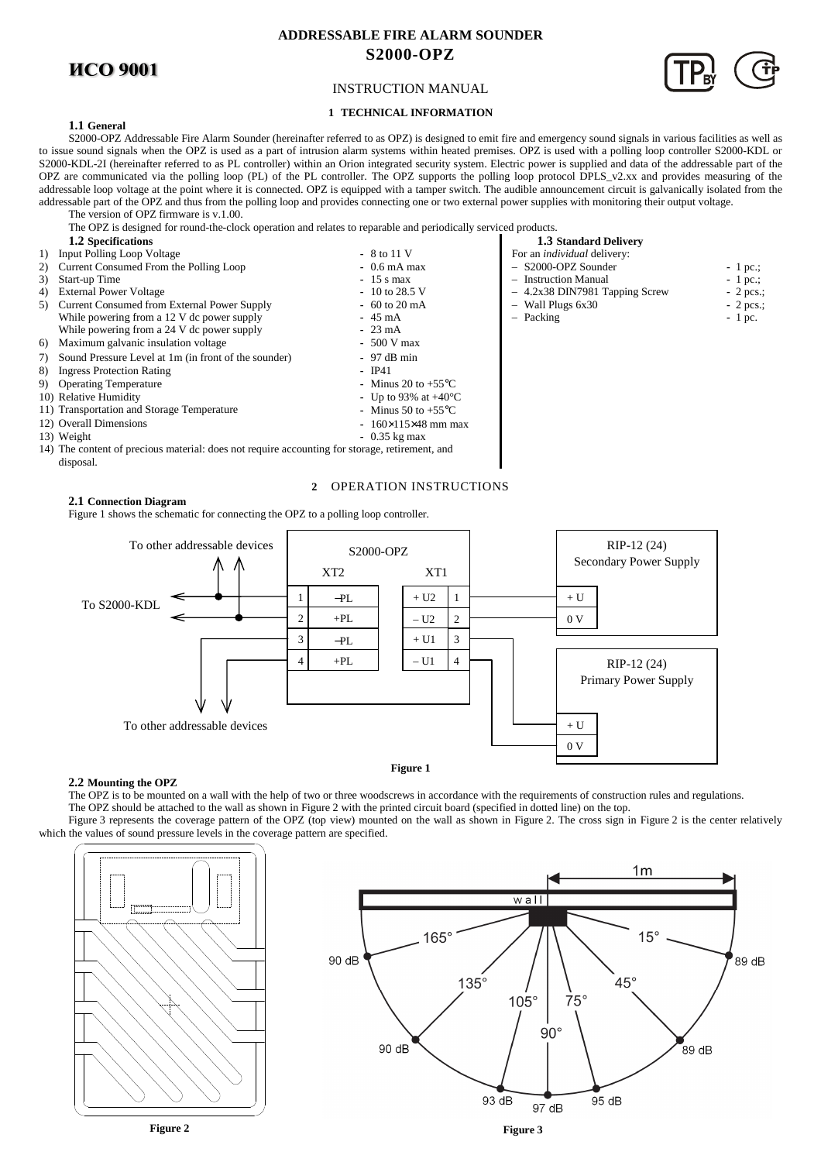# **ИСО 9001**

# **ADDRESSABLE FIRE ALARM SOUNDER S2000-OPZ**



# **1 TECHNICAL INFORMATION**

# **1.1 General**

S2000-OPZ Addressable Fire Alarm Sounder (hereinafter referred to as OPZ) is designed to emit fire and emergency sound signals in various facilities as well as to issue sound signals when the OPZ is used as a part of intrusion alarm systems within heated premises. OPZ is used with a polling loop controller S2000-KDL or S2000-KDL-2I (hereinafter referred to as PL controller) within an Orion integrated security system. Electric power is supplied and data of the addressable part of the OPZ are communicated via the polling loop (PL) of the PL controller. The OPZ supports the polling loop protocol DPLS\_v2.xx and provides measuring of the addressable loop voltage at the point where it is connected. OPZ is equipped with a tamper switch. The audible announcement circuit is galvanically isolated from the addressable part of the OPZ and thus from the polling loop and provides connecting one or two external power supplies with monitoring their output voltage.

The version of OPZ firmware is v.1.00. The OPZ is designed for round-the-clock operation and relates to reparable and periodically serviced products.

- **1.2 Specifications 1.3 Standard Delivery 1.3 Standard Delivery 1.3 Standard Delivery 1.3 Standard Delivery 1.3 Standard Delivery 1.3 Standard Delivery 1.3 Standard Delivery 1.3 Standard Delivery 1.3 Stan** 1) Input Polling Loop Voltage **-** 8 to 11 V For an *individual* deliver<br>
2) Current Consumed From the Polling Loop **-** 0.6 mA max - - S2000-OPZ Sounder 2) Current Consumed From the Polling Loop **-** 0.6 mA max – S2000-OPZ Sounder - 1 pc.;<br>
3) Start-up Time - 1 pc.; 3) Start-up Time **-** 15 s max **-** 15 s max **-** 15 s max **-** 15 s max **-** 10 to 28.5 V - 12x38 DIN7981 Tag 4) External Power Voltage<br>
4) External Power Voltage **-** 10 to 28.5 V<br>
5) Current Consumed from External Power Supply<br>
4) External Power Supply<br>
- 60 to 20 mA<br>
- Wall Plugs 6x30<br>
- Wall Plugs 6x30<br>
- Wall Plugs 6x30 5) Current Consumed from External Power Supply **-** 60 to 20 mA – Wall Plugs 6x30 – Pull Plugs 6x30 – 2 pcs.<br>While powering from a 12 V dc power supply - 45 mA – Packing – Packing – Packing – 2 pc. While powering from a 12 V dc power supply  $\blacksquare$  **-** 45 mA  $\blacksquare$  - Packing  $\blacksquare$ While powering from a 24 V dc power supply **-** 23 mA<br>Maximum galvanic insulation voltage **-** 500 V max 6) Maximum galvanic insulation voltage 7) Sound Pressure Level at 1m (in front of the sounder) **-** 97 dB min 8) Ingress Protection Rating **-** IP41<br>
9) Operating Temperature **-** Minus 20 to +55°C Operating Temperature **-** Minus 20 to +55°C<br>Relative Humidity **-** Up to 93% at +40°C 10) Relative Humidity 11) Transportation and Storage Temperature **-** Minus 50 to +55°C 12) Overall Dimensions **-** 160×115×48 mm max 13) Weight **-** 0.35 kg max 14) The content of precious material: does not require accounting for storage, retirement, and
- disposal.

# **2** OPERATION INSTRUCTIONS

**2.1 Connection Diagram**  Figure 1 shows the schematic for connecting the OPZ to a polling loop controller.



# **2.2 Mounting the OPZ**

The OPZ is to be mounted on a wall with the help of two or three woodscrews in accordance with the requirements of construction rules and regulations. The OPZ should be attached to the wall as shown in Figure 2 with the printed circuit board (specified in dotted line) on the top.

Figure 3 represents the coverage pattern of the OPZ (top view) mounted on the wall as shown in Figure 2. The cross sign in Figure 2 is the center relatively which the values of sound pressure levels in the coverage pattern are specified.